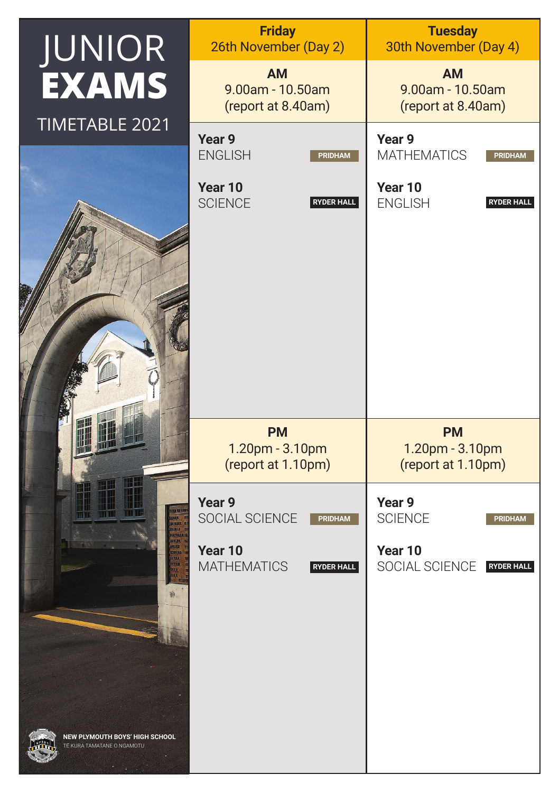| JUNIOR                                                       | <b>Friday</b><br>26th November (Day 2)                    |                                     | <b>Tuesday</b><br>30th November (Day 4)                |                                     |
|--------------------------------------------------------------|-----------------------------------------------------------|-------------------------------------|--------------------------------------------------------|-------------------------------------|
| <b>EXAMS</b>                                                 | <b>AM</b><br>9.00am - 10.50am<br>(report at 8.40am)       |                                     | <b>AM</b><br>$9.00$ am - 10.50am<br>(report at 8.40am) |                                     |
| TIMETABLE 2021                                               | Year 9<br><b>ENGLISH</b>                                  | <b>PRIDHAM</b>                      | Year 9<br><b>MATHEMATICS</b>                           | <b>PRIDHAM</b>                      |
|                                                              | Year 10<br><b>SCIENCE</b>                                 | <b>RYDER HALL</b>                   | Year 10<br><b>ENGLISH</b>                              | <b>RYDER HALL</b>                   |
|                                                              | <b>PM</b><br>1.20pm - 3.10pm<br>(report at 1.10pm)        |                                     | <b>PM</b><br>1.20pm - 3.10pm<br>(report at 1.10pm)     |                                     |
|                                                              | Year 9<br>SOCIAL SCIENCE<br>Year 10<br><b>MATHEMATICS</b> | <b>PRIDHAM</b><br><b>RYDER HALL</b> | Year 9<br><b>SCIENCE</b><br>Year 10<br>SOCIAL SCIENCE  | <b>PRIDHAM</b><br><b>RYDER HALL</b> |
| NEW PLYMOUTH BOYS' HIGH SCHOOL<br>TE KURA TAMATANE O NGAMOTU |                                                           |                                     |                                                        |                                     |